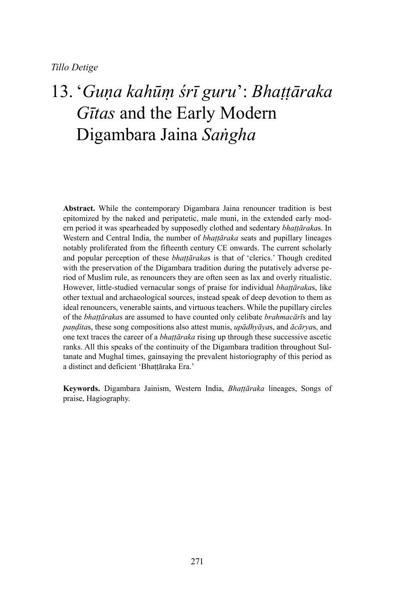# 13. '*Guṇa kahūṃ śrī guru*': *Bhaṭṭāraka Gītas* and the Early Modern Digambara Jaina *Saṅgha*

**Abstract.** While the contemporary Digambara Jaina renouncer tradition is best epitomized by the naked and peripatetic, male muni, in the extended early modern period it was spearheaded by supposedly clothed and sedentary *bhaṭṭāraka*s. In Western and Central India, the number of *bhaṭṭāraka* seats and pupillary lineages notably proliferated from the fifteenth century CE onwards. The current scholarly and popular perception of these *bhaṭṭāraka*s is that of 'clerics.' Though credited with the preservation of the Digambara tradition during the putatively adverse period of Muslim rule, as renouncers they are often seen as lax and overly ritualistic. However, little-studied vernacular songs of praise for individual *bhaṭṭāraka*s, like other textual and archaeological sources, instead speak of deep devotion to them as ideal renouncers, venerable saints, and virtuous teachers. While the pupillary circles of the *bhaṭṭāraka*s are assumed to have counted only celibate *brahmacārī*s and lay *paṇḍita*s, these song compositions also attest munis, *upādhyāya*s, and *ācārya*s, and one text traces the career of a *bhaṭṭāraka* rising up through these successive ascetic ranks. All this speaks of the continuity of the Digambara tradition throughout Sultanate and Mughal times, gainsaying the prevalent historiography of this period as a distinct and deficient 'Bhaṭṭāraka Era.'

**Keywords.** Digambara Jainism, Western India, *Bhaṭṭāraka* lineages, Songs of praise, Hagiography.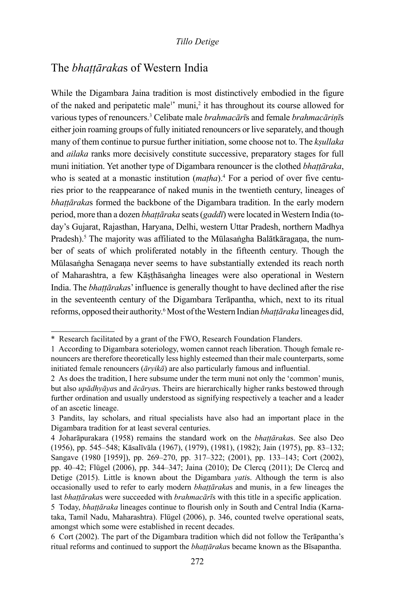## The *bhaṭṭāraka*s of Western India

While the Digambara Jaina tradition is most distinctively embodied in the figure of the naked and peripatetic male<sup>1\*</sup> muni,<sup>2</sup> it has throughout its course allowed for various types of renouncers.3 Celibate male *brahmacārī*s and female *brahmacāriṇī*s either join roaming groups of fully initiated renouncers or live separately, and though many of them continue to pursue further initiation, some choose not to. The *kṣullaka* and *ailaka* ranks more decisively constitute successive, preparatory stages for full muni initiation. Yet another type of Digambara renouncer is the clothed *bhaṭṭāraka*, who is seated at a monastic institution (*matha*).<sup>4</sup> For a period of over five centuries prior to the reappearance of naked munis in the twentieth century, lineages of *bhaṭṭāraka*s formed the backbone of the Digambara tradition. In the early modern period, more than a dozen *bhaṭṭāraka* seats (*gaddī*) were located in Western India (today's Gujarat, Rajasthan, Haryana, Delhi, western Uttar Pradesh, northern Madhya Pradesh).<sup>5</sup> The majority was affiliated to the Mūlasaṅgha Balātkāragaṇa, the number of seats of which proliferated notably in the fifteenth century. Though the Mūlasaṅgha Senagaṇa never seems to have substantially extended its reach north of Maharashtra, a few Kāṣṭhāsaṅgha lineages were also operational in Western India. The *bhaṭṭāraka*s' influence is generally thought to have declined after the rise in the seventeenth century of the Digambara Terāpantha, which, next to its ritual reforms, opposed their authority.6 Most of the Western Indian *bhaṭṭāraka* lineages did,

<sup>\*</sup> Research facilitated by a grant of the FWO, Research Foundation Flanders.

<sup>1</sup> According to Digambara soteriology, women cannot reach liberation. Though female renouncers are therefore theoretically less highly esteemed than their male counterparts, some initiated female renouncers (*āryikā*) are also particularly famous and influential.

<sup>2</sup> As does the tradition, I here subsume under the term muni not only the 'common' munis, but also *upādhyāya*s and *ācārya*s. Theirs are hierarchically higher ranks bestowed through further ordination and usually understood as signifying respectively a teacher and a leader of an ascetic lineage.

<sup>3</sup> Pandits, lay scholars, and ritual specialists have also had an important place in the Digambara tradition for at least several centuries.

<sup>4</sup> Joharāpurakara (1958) remains the standard work on the *bhaṭṭāraka*s. See also Deo (1956), pp. 545–548; Kāsalīvāla (1967), (1979), (1981), (1982); Jain (1975), pp. 83–132; Sangave (1980 [1959]), pp. 269–270, pp. 317–322; (2001), pp. 133–143; Cort (2002), pp. 40–42; Flügel (2006), pp. 344–347; Jaina (2010); De Clercq (2011); De Clercq and Detige (2015). Little is known about the Digambara *yati*s. Although the term is also occasionally used to refer to early modern *bhaṭṭāraka*s and munis, in a few lineages the last *bhaṭṭāraka*s were succeeded with *brahmacārī*s with this title in a specific application. 5 Today, *bhaṭṭāraka* lineages continue to flourish only in South and Central India (Karnataka, Tamil Nadu, Maharashtra). Flügel (2006), p. 346, counted twelve operational seats, amongst which some were established in recent decades.

<sup>6</sup> Cort (2002). The part of the Digambara tradition which did not follow the Terāpantha's ritual reforms and continued to support the *bhaṭṭāraka*s became known as the Bīsapantha.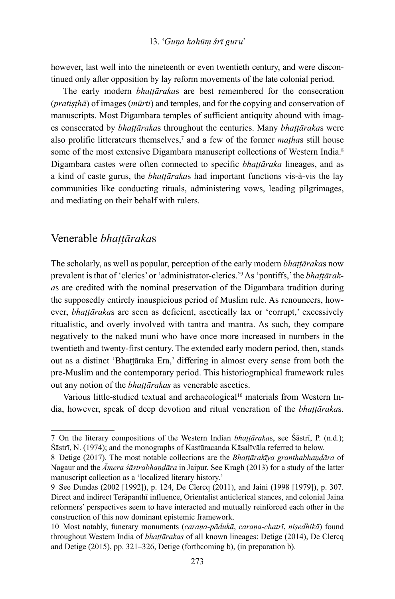however, last well into the nineteenth or even twentieth century, and were discontinued only after opposition by lay reform movements of the late colonial period.

The early modern *bhaṭṭāraka*s are best remembered for the consecration (*pratiṣṭhā*) of images (*mūrti*) and temples, and for the copying and conservation of manuscripts. Most Digambara temples of sufficient antiquity abound with images consecrated by *bhaṭṭāraka*s throughout the centuries. Many *bhaṭṭāraka*s were also prolific litterateurs themselves,<sup>7</sup> and a few of the former *mathas* still house some of the most extensive Digambara manuscript collections of Western India.<sup>8</sup> Digambara castes were often connected to specific *bhaṭṭāraka* lineages, and as a kind of caste gurus, the *bhaṭṭāraka*s had important functions vis-à-vis the lay communities like conducting rituals, administering vows, leading pilgrimages, and mediating on their behalf with rulers.

### Venerable *bhaṭṭāraka*s

The scholarly, as well as popular, perception of the early modern *bhaṭṭāraka*s now prevalent is that of 'clerics' or 'administrator-clerics.'<sup>9</sup> As 'pontiffs,' the *bhaṭṭāraka*s are credited with the nominal preservation of the Digambara tradition during the supposedly entirely inauspicious period of Muslim rule. As renouncers, however, *bhaṭṭāraka*s are seen as deficient, ascetically lax or 'corrupt,' excessively ritualistic, and overly involved with tantra and mantra. As such, they compare negatively to the naked muni who have once more increased in numbers in the twentieth and twenty-first century. The extended early modern period, then, stands out as a distinct 'Bhaṭṭāraka Era,' differing in almost every sense from both the pre-Muslim and the contemporary period. This historiographical framework rules out any notion of the *bhaṭṭārakas* as venerable ascetics.

Various little-studied textual and archaeological<sup>10</sup> materials from Western India, however, speak of deep devotion and ritual veneration of the *bhaṭṭāraka*s.

<sup>7</sup> On the literary compositions of the Western Indian *bhaṭṭāraka*s, see Śāstrī, P. (n.d.); Śāstrī, N. (1974); and the monographs of Kastūracanda Kāsalīvāla referred to below.

<sup>8</sup> Detige (2017). The most notable collections are the *Bhaṭṭārakīya granthabhaṇḍāra* of Nagaur and the *Āmera śāstrabhaṇḍāra* in Jaipur. See Kragh (2013) for a study of the latter manuscript collection as a 'localized literary history.'

<sup>9</sup> See Dundas (2002 [1992]), p. 124, De Clercq (2011), and Jaini (1998 [1979]), p. 307. Direct and indirect Terāpanthī influence, Orientalist anticlerical stances, and colonial Jaina reformers' perspectives seem to have interacted and mutually reinforced each other in the construction of this now dominant epistemic framework.

<sup>10</sup> Most notably, funerary monuments (*caraṇa-pādukā*, *caraṇa-chatrī*, *niṣedhikā*) found throughout Western India of *bhaṭṭārakas* of all known lineages: Detige (2014), De Clercq and Detige (2015), pp. 321–326, Detige (forthcoming b), (in preparation b).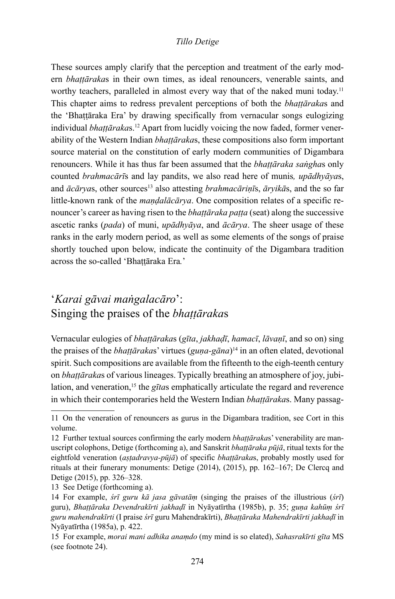These sources amply clarify that the perception and treatment of the early modern *bhaṭṭāraka*s in their own times, as ideal renouncers, venerable saints, and worthy teachers, paralleled in almost every way that of the naked muni today.<sup>11</sup> This chapter aims to redress prevalent perceptions of both the *bhaṭṭāraka*s and the 'Bhaṭṭāraka Era' by drawing specifically from vernacular songs eulogizing individual *bhaṭṭāraka*s.12 Apart from lucidly voicing the now faded, former venerability of the Western Indian *bhaṭṭāraka*s, these compositions also form important source material on the constitution of early modern communities of Digambara renouncers. While it has thus far been assumed that the *bhaṭṭāraka saṅgha*s only counted *brahmacārī*s and lay pandits, we also read here of munis*, upādhyāya*s, and  $\bar{a}c\bar{a}rvas$ , other sources<sup>13</sup> also attesting *brahmacārinīs*,  $\bar{a}rvik\bar{a}s$ , and the so far little-known rank of the *maṇḍalācārya*. One composition relates of a specific renouncer's career as having risen to the *bhaṭṭāraka paṭṭa* (seat) along the successive ascetic ranks (*pada*) of muni, *upādhyāya*, and *ācārya*. The sheer usage of these ranks in the early modern period, as well as some elements of the songs of praise shortly touched upon below, indicate the continuity of the Digambara tradition across the so-called 'Bhaṭṭāraka Era*.*'

# '*Karai gāvai maṅgalacāro*': Singing the praises of the *bhaṭṭāraka*s

Vernacular eulogies of *bhaṭṭāraka*s (*gīta*, *jakhaḍī*, *hamacī*, *lāvaṇī*, and so on) sing the praises of the *bhaṭṭāraka*s' virtues (*guṇa-gāna*)14 in an often elated, devotional spirit. Such compositions are available from the fifteenth to the eigh-teenth century on *bhaṭṭāraka*s of various lineages. Typically breathing an atmosphere of joy, jubilation, and veneration,<sup>15</sup> the *gītas* emphatically articulate the regard and reverence in which their contemporaries held the Western Indian *bhaṭṭāraka*s. Many passag-

<sup>11</sup> On the veneration of renouncers as gurus in the Digambara tradition, see Cort in this volume.

<sup>12</sup> Further textual sources confirming the early modern *bhaṭṭāraka*s' venerability are manuscript colophons, Detige (forthcoming a), and Sanskrit *bhaṭṭāraka pūjā*, ritual texts for the eightfold veneration (*aṣṭadravya-pūjā*) of specific *bhaṭṭāraka*s, probably mostly used for rituals at their funerary monuments: Detige (2014), (2015), pp. 162–167; De Clercq and Detige (2015), pp. 326–328.

<sup>13</sup> See Detige (forthcoming a).

<sup>14</sup> For example, *śrī guru kā jasa gāvatāṃ* (singing the praises of the illustrious (*śrī*) guru), *Bhaṭṭāraka Devendrakīrti jakhaḍī* in Nyāyatīrtha (1985b), p. 35; *guṇa kahūṃ śrī guru mahendrakīrti* (I praise *śrī* guru Mahendrakīrti), *Bhaṭṭāraka Mahendrakīrti jakhaḍī* in Nyāyatīrtha (1985a), p. 422.

<sup>15</sup> For example, *morai mani adhika anaṃdo* (my mind is so elated), *Sahasrakīrti gīta* MS (see footnote 24).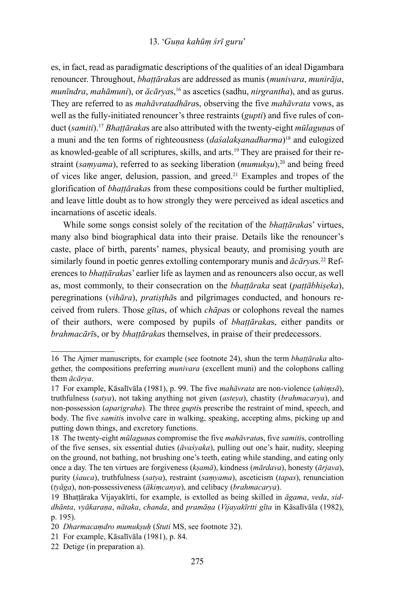#### 13. '*Guṇa kahūṃ śrī guru*'

es, in fact, read as paradigmatic descriptions of the qualities of an ideal Digambara renouncer. Throughout, *bhaṭṭāraka*s are addressed as munis (*munivara*, *munirāja*, *munīndra*, *mahāmuni*), or *ācārya*s,16 as ascetics (sadhu, *nirgrantha*), and as gurus. They are referred to as *mahāvratadhāra*s, observing the five *mahāvrata* vows, as well as the fully-initiated renouncer's three restraints (*gupti*) and five rules of conduct (*samiti*).17 *Bhaṭṭāraka*s are also attributed with the twenty-eight *mūlaguṇa*s of a muni and the ten forms of righteousness (*daśalakṣanadharma*)<sup>18</sup> and eulogized as knowled-geable of all scriptures, skills, and arts.19 They are praised for their restraint (*samyama*), referred to as seeking liberation (*mumuksu*),<sup>20</sup> and being freed of vices like anger, delusion, passion, and greed.21 Examples and tropes of the glorification of *bhaṭṭāraka*s from these compositions could be further multiplied, and leave little doubt as to how strongly they were perceived as ideal ascetics and incarnations of ascetic ideals.

While some songs consist solely of the recitation of the *bhaṭṭāraka*s' virtues, many also bind biographical data into their praise. Details like the renouncer's caste, place of birth, parents' names, physical beauty, and promising youth are similarly found in poetic genres extolling contemporary munis and  $\bar{a}c\bar{a}ryas.$ <sup>22</sup> References to *bhaṭṭāraka*s' earlier life as laymen and as renouncers also occur, as well as, most commonly, to their consecration on the *bhaṭṭāraka* seat (*paṭṭābhiṣeka*), peregrinations (*vihāra*), *pratiṣṭhā*s and pilgrimages conducted, and honours received from rulers. Those *gīta*s, of which *chāpa*s or colophons reveal the names of their authors, were composed by pupils of *bhaṭṭāraka*s, either pandits or *brahmacārī*s, or by *bhaṭṭāraka*s themselves, in praise of their predecessors.

<sup>16</sup> The Ajmer manuscripts, for example (see footnote 24), shun the term *bhaṭṭāraka* altogether, the compositions preferring *munivara* (excellent muni) and the colophons calling them *ācārya*.

<sup>17</sup> For example, Kāsalīvāla (1981), p. 99. The five *mahāvrata* are non-violence (*ahiṃsā*), truthfulness (*satya*), not taking anything not given (*asteya*), chastity (*brahmacarya*), and non-possession (*aparigraha*). The three *gupti*s prescribe the restraint of mind, speech, and body. The five *samiti*s involve care in walking, speaking, accepting alms, picking up and putting down things, and excretory functions.

<sup>18</sup> The twenty-eight *mūlaguṇa*s compromise the five *mahāvrata*s, five *samiti*s, controlling of the five senses, six essential duties (*āvaśyaka*), pulling out one's hair, nudity, sleeping on the ground, not bathing, not brushing one's teeth, eating while standing, and eating only once a day. The ten virtues are forgiveness (*kṣamā*), kindness (*mārdava*), honesty (*ārjava*), purity (*śauca*), truthfulness (*satya*), restraint (*saṃyama*), asceticism (*tapas*), renunciation (*tyāga*), non-possessiveness (*ākiṃcanya*), and celibacy (*brahmacarya*).

<sup>19</sup> Bhaṭṭāraka Vijayakīrti, for example, is extolled as being skilled in *āgama*, *veda*, *siddhānta*, *vyākaraṇa*, *nātaka*, *chanda*, and *pramāṇa* (*Vijayakīrtti gīta* in Kāsalīvāla (1982), p. 195).

<sup>20</sup> *Dharmacaṃdro mumukṣuḥ* (*Stuti* MS, see footnote 32).

<sup>21</sup> For example, Kāsalīvāla (1981), p. 84.

<sup>22</sup> Detige (in preparation a).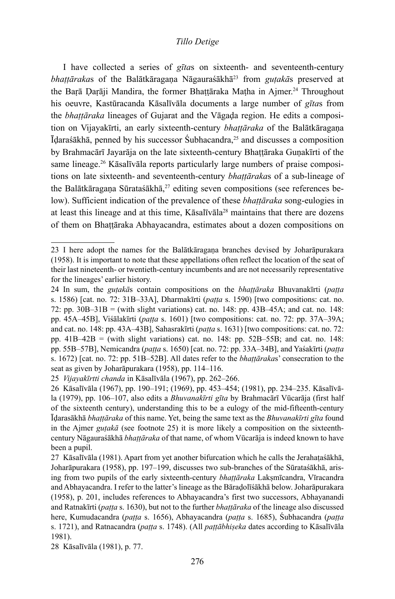I have collected a series of *gīta*s on sixteenth- and seventeenth-century *bhattārakas* of the Balātkāragana Nāgauraśākhā<sup>23</sup> from *gutakās* preserved at the Barā Darāji Mandira, the former Bhaṭṭāraka Maṭha in Ajmer.<sup>24</sup> Throughout his oeuvre, Kastūracanda Kāsalīvāla documents a large number of *gīta*s from the *bhaṭṭāraka* lineages of Gujarat and the Vāgaḍa region. He edits a composition on Vijayakīrti, an early sixteenth-century *bhaṭṭāraka* of the Balātkāragaṇa Īḍaraśākhā, penned by his successor Śubhacandra,25 and discusses a composition by Brahmacārī Jayarāja on the late sixteenth-century Bhaṭṭāraka Guṇakīrti of the same lineage.26 Kāsalīvāla reports particularly large numbers of praise compositions on late sixteenth- and seventeenth-century *bhaṭṭāraka*s of a sub-lineage of the Balātkāragana Sūrataśākhā,<sup>27</sup> editing seven compositions (see references below). Sufficient indication of the prevalence of these *bhaṭṭāraka* song-eulogies in at least this lineage and at this time, Kāsalīvāla28 maintains that there are dozens of them on Bhaṭṭāraka Abhayacandra, estimates about a dozen compositions on

28 Kāsalīvāla (1981), p. 77.

<sup>23</sup> I here adopt the names for the Balātkāragaṇa branches devised by Joharāpurakara (1958). It is important to note that these appellations often reflect the location of the seat of their last nineteenth- or twentieth-century incumbents and are not necessarily representative for the lineages' earlier history.

<sup>24</sup> In sum, the *guṭakā*s contain compositions on the *bhaṭṭāraka* Bhuvanakīrti (*paṭṭa* s. 1586) [cat. no. 72: 31B–33A], Dharmakīrti (*paṭṭa* s. 1590) [two compositions: cat. no. 72: pp. 30B–31B = (with slight variations) cat. no. 148: pp. 43B–45A; and cat. no. 148: pp. 45A–45B], Viśālakīrti (*paṭṭa* s. 1601) [two compositions: cat. no. 72: pp. 37A–39A; and cat. no. 148: pp. 43A–43B], Sahasrakīrti (*paṭṭa* s. 1631) [two compositions: cat. no. 72: pp.  $41B-42B$  = (with slight variations) cat. no. 148: pp.  $52B-55B$ ; and cat. no. 148: pp. 55B–57B], Nemicandra (*paṭṭa* s. 1650) [cat. no. 72: pp. 33A–34B], and Yaśakīrti (*paṭṭa* s. 1672) [cat. no. 72: pp. 51B–52B]. All dates refer to the *bhaṭṭāraka*s' consecration to the seat as given by Joharāpurakara (1958), pp. 114–116.

<sup>25</sup> *Vijayakīrtti chanda* in Kāsalīvāla (1967), pp. 262–266.

<sup>26</sup> Kāsalīvāla (1967), pp. 190–191; (1969), pp. 453–454; (1981), pp. 234–235. Kāsalīvāla (1979), pp. 106–107, also edits a *Bhuvanakīrti gīta* by Brahmacārī Vūcarāja (first half of the sixteenth century), understanding this to be a eulogy of the mid-fifteenth-century Īḍarasākhā *bhaṭṭāraka* of this name. Yet, being the same text as the *Bhuvanakīrti gīta* found in the Ajmer *guṭakā* (see footnote 25) it is more likely a composition on the sixteenthcentury Nāgauraśākhā *bhaṭṭāraka* of that name, of whom Vūcarāja is indeed known to have been a pupil.

<sup>27</sup> Kāsalīvāla (1981). Apart from yet another bifurcation which he calls the Jerahaṭaśākhā, Joharāpurakara (1958), pp. 197–199, discusses two sub-branches of the Sūrataśākhā, arising from two pupils of the early sixteenth-century *bhaṭṭāraka* Lakṣmīcandra, Vīracandra and Abhayacandra. I refer to the latter's lineage as the Bāraḍolīśākhā below. Joharāpurakara (1958), p. 201, includes references to Abhayacandra's first two successors, Abhayanandi and Ratnakīrti (*paṭṭa* s. 1630), but not to the further *bhaṭṭāraka* of the lineage also discussed here, Kumudacandra (*paṭṭa* s. 1656), Abhayacandra (*paṭṭa* s. 1685), Śubhacandra (*paṭṭa* s. 1721), and Ratnacandra (*paṭṭa* s. 1748). (All *paṭṭābhiṣeka* dates according to Kāsalīvāla 1981).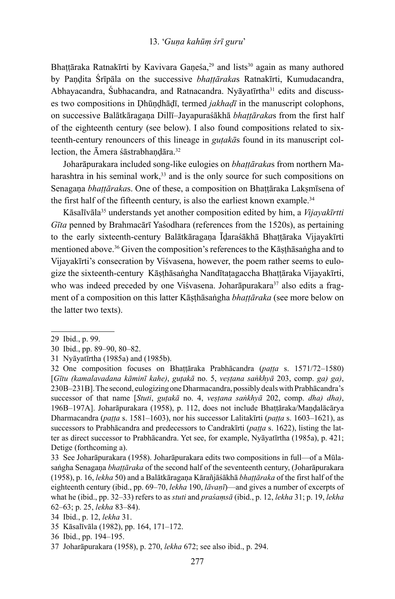Bhattāraka Ratnakīrti by Kavivara Ganeśa,<sup>29</sup> and lists<sup>30</sup> again as many authored by Paṇḍita Śrīpāla on the successive *bhaṭṭāraka*s Ratnakīrti, Kumudacandra, Abhayacandra, Śubhacandra, and Ratnacandra. Nyāyatīrtha<sup>31</sup> edits and discusses two compositions in Ḍhūṇḍhāḍī, termed *jakhaḍī* in the manuscript colophons, on successive Balātkāragaṇa Dillī*–*Jayapuraśākhā *bhaṭṭāraka*s from the first half of the eighteenth century (see below). I also found compositions related to sixteenth-century renouncers of this lineage in *guṭakā*s found in its manuscript collection, the Āmera śāstrabhandāra.<sup>32</sup>

Joharāpurakara included song-like eulogies on *bhaṭṭāraka*s from northern Maharashtra in his seminal work,<sup>33</sup> and is the only source for such compositions on Senagaṇa *bhaṭṭāraka*s. One of these, a composition on Bhaṭṭāraka Lakṣmīsena of the first half of the fifteenth century, is also the earliest known example.<sup>34</sup>

Kāsalīvāla35 understands yet another composition edited by him, a *Vijayakīrtti Gīta* penned by Brahmacārī Yaśodhara (references from the 1520s), as pertaining to the early sixteenth-century Balātkāragaṇa Īḍaraśākhā Bhaṭṭāraka Vijayakīrti mentioned above.36 Given the composition's references to the Kāṣṭhāsaṅgha and to Vijayakīrti's consecration by Viśvasena, however, the poem rather seems to eulogize the sixteenth-century Kāṣṭhāsaṅgha Nandītaṭagaccha Bhaṭṭāraka Vijayakīrti, who was indeed preceded by one Viśvasena. Joharāpurakara<sup>37</sup> also edits a fragment of a composition on this latter Kāṣṭhāsaṅgha *bhaṭṭāraka* (see more below on the latter two texts).

<sup>29</sup> Ibid., p. 99.

<sup>30</sup> Ibid., pp. 89–90, 80–82.

<sup>31</sup> Nyāyatīrtha (1985a) and (1985b).

<sup>32</sup> One composition focuses on Bhaṭṭāraka Prabhācandra (*paṭṭa* s. 1571/72–1580) [*Gītu (kamalavadana kāminī kahe)*, *guṭakā* no. 5, *veṣṭana saṅkhyā* 203, comp. *ga) ga)*, 230B–231B]. The second, eulogizing one Dharmacandra, possibly deals with Prabhācandra's successor of that name [*Stuti*, *guṭakā* no. 4, *veṣṭana saṅkhyā* 202, comp. *dha) dha)*, 196B–197A]. Joharāpurakara (1958), p. 112, does not include Bhaṭṭāraka/Maṇḍalācārya Dharmacandra (*paṭṭa* s. 1581–1603), nor his successor Lalitakīrti (*paṭṭa* s. 1603–1621), as successors to Prabhācandra and predecessors to Candrakīrti (*paṭṭa* s. 1622), listing the latter as direct successor to Prabhācandra. Yet see, for example, Nyāyatīrtha (1985a), p. 421; Detige (forthcoming a).

<sup>33</sup> See Joharāpurakara (1958). Joharāpurakara edits two compositions in full—of a Mūlasaṅgha Senagaṇa *bhaṭṭāraka* of the second half of the seventeenth century, (Joharāpurakara (1958), p. 16, *lekha* 50) and a Balātkāragaṇa Kārañjāśākhā *bhaṭṭāraka* of the first half of the eighteenth century (ibid., pp. 69–70, *lekha* 190, *lāvaṇī*)—and gives a number of excerpts of what he (ibid., pp. 32–33) refers to as *stuti* and *praśaṃsā* (ibid., p. 12, *lekha* 31; p. 19, *lekha* 62–63; p. 25, *lekha* 83–84).

<sup>34</sup> Ibid., p. 12, *lekha* 31.

<sup>35</sup> Kāsalīvāla (1982), pp. 164, 171–172.

<sup>36</sup> Ibid., pp. 194–195.

<sup>37</sup> Joharāpurakara (1958), p. 270, *lekha* 672; see also ibid., p. 294.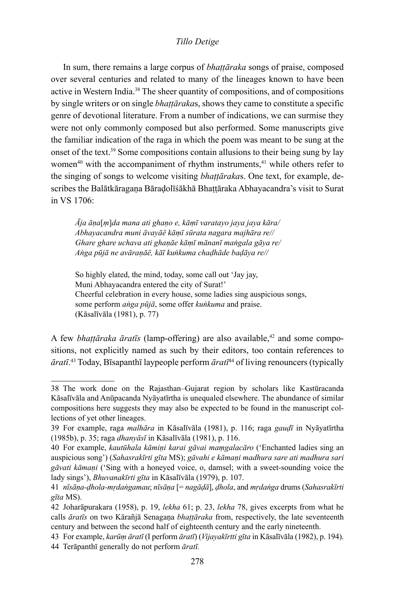In sum, there remains a large corpus of *bhaṭṭāraka* songs of praise, composed over several centuries and related to many of the lineages known to have been active in Western India.38 The sheer quantity of compositions, and of compositions by single writers or on single *bhaṭṭāraka*s, shows they came to constitute a specific genre of devotional literature. From a number of indications, we can surmise they were not only commonly composed but also performed. Some manuscripts give the familiar indication of the raga in which the poem was meant to be sung at the onset of the text.<sup>39</sup> Some compositions contain allusions to their being sung by lay women $40$  with the accompaniment of rhythm instruments, $41$  while others refer to the singing of songs to welcome visiting *bhaṭṭāraka*s. One text, for example, describes the Balātkāragaṇa Bāraḍolīśākhā Bhaṭṭāraka Abhayacandra's visit to Surat in VS 1706:

*Āja āṇa*[*ṃ*]*da mana ati ghaṇo e, kāṃī varatayo jaya jaya kāra/ Abhayacandra muni āvayāë kāṃī sūrata nagara majhāra re// Ghare ghare uchava ati ghaṇāe kāṃī mānanī maṅgala gāya re/ Aṅga pūjā ne avāraṇāë, kāī kuṅkuma chaḍhāde baḍāya re//*

So highly elated, the mind, today, some call out 'Jay jay, Muni Abhayacandra entered the city of Surat!' Cheerful celebration in every house, some ladies sing auspicious songs, some perform *aṅga pūjā*, some offer *kuṅkuma* and praise. (Kāsalīvāla (1981), p. 77)

A few *bhaṭṭāraka āratīs* (lamp-offering) are also available,<sup>42</sup> and some compositions, not explicitly named as such by their editors, too contain references to *āratī*. <sup>43</sup> Today, Bīsapanthī laypeople perform *āratī*44 of living renouncers (typically

<sup>38</sup> The work done on the Rajasthan–Gujarat region by scholars like Kastūracanda Kāsalīvāla and Anūpacanda Nyāyatīrtha is unequaled elsewhere. The abundance of similar compositions here suggests they may also be expected to be found in the manuscript collections of yet other lineages.

<sup>39</sup> For example, raga *malhāra* in Kāsalīvāla (1981), p. 116; raga *gauḍī* in Nyāyatīrtha (1985b), p. 35; raga *dhanyāsī* in Kāsalīvāla (1981), p. 116.

<sup>40</sup> For example, *kautūhala kāmiṇi karai gāvai maṃgalacāro* ('Enchanted ladies sing an auspicious song') (*Sahasrakīrti gīta* MS); *gāvahi e kāmaṇi madhura sare ati madhura sari gāvati kāmaṇi* ('Sing with a honeyed voice, o, damsel; with a sweet-sounding voice the lady sings'), *Bhuvanakīrti gīta* in Kāsalīvāla (1979), p. 107.

<sup>41</sup> *nīsāṇa-ḍhola-mṛdaṅgamau*; *nīsāṇa* [= *nagāḍā*], *ḍhola*, and *mṛdaṅga* drums (*Sahasrakīrti gīta* MS).

<sup>42</sup> Joharāpurakara (1958), p. 19, *lekha* 61; p. 23, *lekha* 78, gives excerpts from what he calls *āratīs* on two Kārañjā Senagaṇa *bhaṭṭāraka* from, respectively, the late seventeenth century and between the second half of eighteenth century and the early nineteenth.

<sup>43</sup> For example, *karūṃ āratī* (I perform *āratī*) (*Vijayakīrtti gīta* in Kāsalīvāla (1982), p. 194). 44 Terāpanthī generally do not perform *āratī.*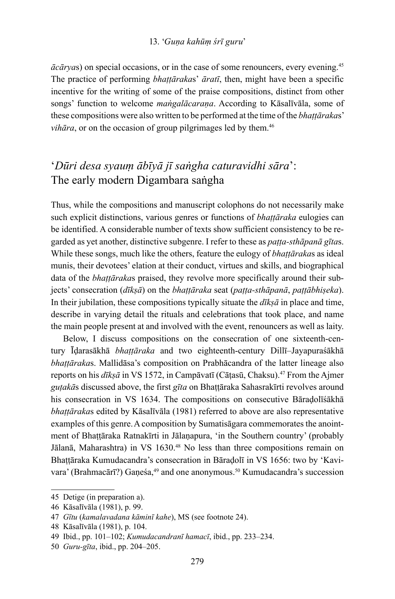*ācārya*s) on special occasions, or in the case of some renouncers, every evening.45 The practice of performing *bhaṭṭāraka*s' *āratī*, then, might have been a specific incentive for the writing of some of the praise compositions, distinct from other songs' function to welcome *maṅgalācaraṇa*. According to Kāsalīvāla, some of these compositions were also written to be performed at the time of the *bhaṭṭāraka*s' *vihāra*, or on the occasion of group pilgrimages led by them.<sup>46</sup>

## '*Dūri desa syauṃ ābīyā jī saṅgha caturavidhi sāra*': The early modern Digambara saṅgha

Thus, while the compositions and manuscript colophons do not necessarily make such explicit distinctions, various genres or functions of *bhaṭṭāraka* eulogies can be identified. A considerable number of texts show sufficient consistency to be regarded as yet another, distinctive subgenre. I refer to these as *paṭṭa-sthāpanā gīta*s. While these songs, much like the others, feature the eulogy of *bhaṭṭāraka*s as ideal munis, their devotees' elation at their conduct, virtues and skills, and biographical data of the *bhaṭṭāraka*s praised, they revolve more specifically around their subjects' consecration (*dīkṣā*) on the *bhaṭṭāraka* seat (*paṭṭa-sthāpanā*, *paṭṭābhiṣeka*). In their jubilation, these compositions typically situate the *dīkṣā* in place and time, describe in varying detail the rituals and celebrations that took place, and name the main people present at and involved with the event, renouncers as well as laity.

Below, I discuss compositions on the consecration of one sixteenth-century Īḍarasākhā *bhaṭṭāraka* and two eighteenth-century Dillī–Jayapuraśākhā *bhaṭṭāraka*s. Mallidāsa's composition on Prabhācandra of the latter lineage also reports on his *dīkṣā* in VS 1572, in Campāvatī (Cāṭasū, Chaksu).47 From the Ajmer *guṭakā*s discussed above, the first *gīta* on Bhaṭṭāraka Sahasrakīrti revolves around his consecration in VS 1634. The compositions on consecutive Bāraḍolīśākhā *bhaṭṭāraka*s edited by Kāsalīvāla (1981) referred to above are also representative examples of this genre.A composition by Sumatisāgara commemorates the anointment of Bhaṭṭāraka Ratnakīrti in Jālaṇapura, 'in the Southern country' (probably Jālanā, Maharashtra) in VS 1630.48 No less than three compositions remain on Bhaṭṭāraka Kumudacandra's consecration in Bāraḍolī in VS 1656: two by 'Kavivara' (Brahmacārī?) Ganeśa,<sup>49</sup> and one anonymous.<sup>50</sup> Kumudacandra's succession

<sup>45</sup> Detige (in preparation a).

<sup>46</sup> Kāsalīvāla (1981), p. 99.

<sup>47</sup> *Gītu* (*kamalavadana kāminī kahe*), MS (see footnote 24).

<sup>48</sup> Kāsalīvāla (1981), p. 104.

<sup>49</sup> Ibid., pp. 101–102; *Kumudacandranī hamacī*, ibid., pp. 233–234.

<sup>50</sup> *Guru-gīta*, ibid., pp. 204–205.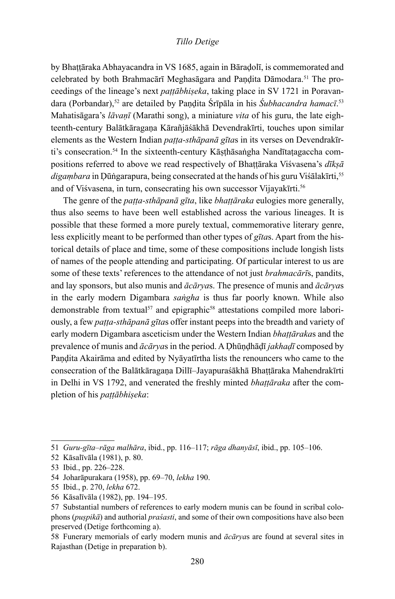by Bhaṭṭāraka Abhayacandra in VS 1685, again in Bāraḍolī, is commemorated and celebrated by both Brahmacārī Meghasāgara and Pandita Dāmodara.<sup>51</sup> The proceedings of the lineage's next *paṭṭābhiṣeka*, taking place in SV 1721 in Poravandara (Porbandar),<sup>52</sup> are detailed by Paṇḍita Srīpāla in his Subhacandra hamacī.<sup>53</sup> Mahatisāgara's *lāvaṇī* (Marathi song), a miniature *vita* of his guru, the late eighteenth-century Balātkāragaṇa Kārañjāśākhā Devendrakīrti, touches upon similar elements as the Western Indian *paṭṭa-sthāpanā gīta*s in its verses on Devendrakīrti's consecration.<sup>54</sup> In the sixteenth-century Kāsthāsaṅgha Nandītatagaccha compositions referred to above we read respectively of Bhaṭṭāraka Viśvasena's *dīkṣā digaṃbara* in Ḍūṅgarapura, being consecrated at the hands of his guru Viśālakīrti,<sup>55</sup> and of Viśvasena, in turn, consecrating his own successor Vijayakīrti.<sup>56</sup>

The genre of the *paṭṭa-sthāpanā gīta*, like *bhaṭṭāraka* eulogies more generally, thus also seems to have been well established across the various lineages. It is possible that these formed a more purely textual, commemorative literary genre, less explicitly meant to be performed than other types of *gīta*s. Apart from the historical details of place and time, some of these compositions include longish lists of names of the people attending and participating. Of particular interest to us are some of these texts' references to the attendance of not just *brahmacārī*s, pandits, and lay sponsors, but also munis and *ācārya*s. The presence of munis and *ācārya*s in the early modern Digambara *saṅgha* is thus far poorly known. While also demonstrable from textual<sup>57</sup> and epigraphic<sup>58</sup> attestations compiled more laboriously, a few *paṭṭa-sthāpanā gīta*s offer instant peeps into the breadth and variety of early modern Digambara asceticism under the Western Indian *bhaṭṭāraka*s and the prevalence of munis and *ācārya*s in the period. A Ḍhūṇḍhāḍī *jakhaḍī* composed by Paṇḍita Akairāma and edited by Nyāyatīrtha lists the renouncers who came to the consecration of the Balātkāragaṇa Dillī–Jayapuraśākhā Bhaṭṭāraka Mahendrakīrti in Delhi in VS 1792, and venerated the freshly minted *bhaṭṭāraka* after the completion of his *paṭṭābhiṣeka*:

<sup>51</sup> *Guru-gīta*–*rāga malhāra*, ibid., pp. 116–117; *rāga dhanyāsī*, ibid., pp. 105–106.

<sup>52</sup> Kāsalīvāla (1981), p. 80.

<sup>53</sup> Ibid., pp. 226–228.

<sup>54</sup> Joharāpurakara (1958), pp. 69–70, *lekha* 190.

<sup>55</sup> Ibid., p. 270, *lekha* 672.

<sup>56</sup> Kāsalīvāla (1982), pp. 194–195.

<sup>57</sup> Substantial numbers of references to early modern munis can be found in scribal colophons (*puṣpikā*) and authorial *praśasti*, and some of their own compositions have also been preserved (Detige forthcoming a).

<sup>58</sup> Funerary memorials of early modern munis and *ācārya*s are found at several sites in Rajasthan (Detige in preparation b).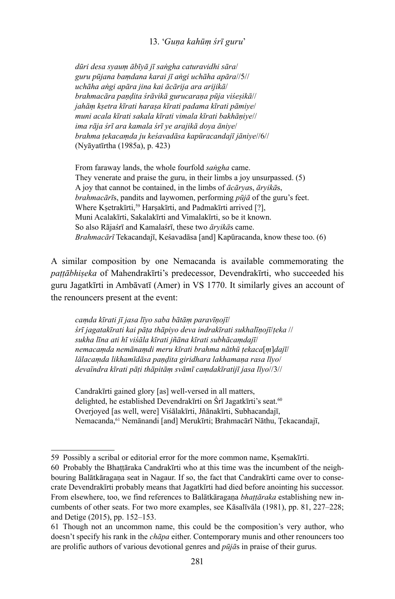#### 13. '*Guṇa kahūṃ śrī guru*'

*dūri desa syauṃ ābīyā jī saṅgha caturavidhi sāra*/ *guru pūjana baṃdana karai jī aṅgi uchāha apāra*//5// *uchāha aṅgi apāra jina kai ācārija ara arijikā*/ *brahmacāra paṇḍita śrāvikā gurucaraṇa pūja viśeṣikā*// *jahāṃ kṣetra kīrati haraṣa kīrati padama kīrati pāmiye*/ *muni acala kīrati sakala kīrati vimala kīrati bakhāṇiye*// *ima rāja śrī ara kamala śrī ye arajikā doya āniye*/ *brahma ṭekacaṃda ju keśavadāsa kapūracandajī jāniye*//6// (Nyāyatīrtha (1985a), p. 423)

From faraway lands, the whole fourfold *saṅgha* came. They venerate and praise the guru, in their limbs a joy unsurpassed. (5) A joy that cannot be contained, in the limbs of *ācārya*s, *āryikā*s, *brahmacārī*s, pandits and laywomen, performing *pūjā* of the guru's feet. Where Kṣetrakīrti,<sup>59</sup> Harṣakīrti, and Padmakīrti arrived [?], Muni Acalakīrti, Sakalakīrti and Vimalakīrti, so be it known. So also Rājaśrī and Kamalaśrī, these two *āryikā*s came. *Brahmacārī* Tekacandajī, Keśavadāsa [and] Kapūracanda, know these too. (6)

A similar composition by one Nemacanda is available commemorating the *paṭṭābhiṣeka* of Mahendrakīrti's predecessor, Devendrakīrti, who succeeded his guru Jagatkīrti in Ambāvatī (Amer) in VS 1770. It similarly gives an account of the renouncers present at the event:

*caṃda kīrati jī jasa līyo saba bātāṃ paravīṇojī*/ *śrī jagatakīrati kai pāṭa thāpiyo deva indrakīrati sukhalīṇojī*/*ṭeka* // *sukha līna ati hī viśāla kīrati jñāna kīrati subhācaṃdajī*/ *nemacaṃda nemānaṃdi meru kīrati brahma nāthū ṭekaca*[*ṃ*]*dajī*/ *lālacaṃda likhamīdāsa paṇḍita giridhara lakhamaṇa rasa līyo*/ *devaïndra kīrati pāṭi thāpitāṃ svāmī caṃdakīratijī jasa līyo*//3//

Candrakīrti gained glory [as] well-versed in all matters, delighted, he established Devendrakīrti on Śrī Jagatkīrti's seat.<sup>60</sup> Overjoyed [as well, were] Viśālakīrti, Jñānakīrti, Subhacandajī, Nemacanda,<sup>61</sup> Nemānandi [and] Merukīrti; Brahmacārī Nāthu, Ţekacandajī,

<sup>59</sup> Possibly a scribal or editorial error for the more common name, Kṣemakīrti.

<sup>60</sup> Probably the Bhaṭṭāraka Candrakīrti who at this time was the incumbent of the neighbouring Balātkāragaṇa seat in Nagaur. If so, the fact that Candrakīrti came over to consecrate Devendrakīrti probably means that Jagatkīrti had died before anointing his successor. From elsewhere, too, we find references to Balātkāragaṇa *bhaṭṭāraka* establishing new incumbents of other seats. For two more examples, see Kāsalīvāla (1981), pp. 81, 227–228; and Detige (2015), pp. 152–153.

<sup>61</sup> Though not an uncommon name, this could be the composition's very author, who doesn't specify his rank in the *chāpa* either. Contemporary munis and other renouncers too are prolific authors of various devotional genres and *pūjā*s in praise of their gurus.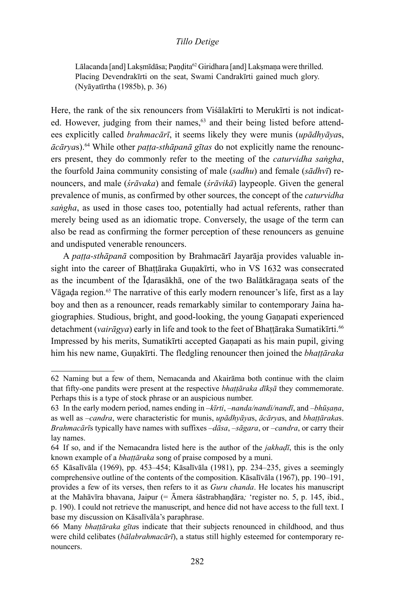Lālacanda [and] Lakṣmīdāsa; Paṇḍita<sup>62</sup> Giridhara [and] Lakṣmaṇa were thrilled. Placing Devendrakīrti on the seat, Swami Candrakīrti gained much glory. (Nyāyatīrtha (1985b), p. 36)

Here, the rank of the six renouncers from Viśālakīrti to Merukīrti is not indicated. However, judging from their names,<sup>63</sup> and their being listed before attendees explicitly called *brahmacārī*, it seems likely they were munis (*upādhyāya*s, *ācārya*s).64 While other *paṭṭa-sthāpanā gītas* do not explicitly name the renouncers present, they do commonly refer to the meeting of the *caturvidha saṅgha*, the fourfold Jaina community consisting of male (*sadhu*) and female (*sādhvī*) renouncers, and male (*śrāvaka*) and female (*śrāvikā*) laypeople. Given the general prevalence of munis, as confirmed by other sources, the concept of the *caturvidha saṅgha*, as used in those cases too, potentially had actual referents, rather than merely being used as an idiomatic trope. Conversely, the usage of the term can also be read as confirming the former perception of these renouncers as genuine and undisputed venerable renouncers.

A *paṭṭa-sthāpanā* composition by Brahmacārī Jayarāja provides valuable insight into the career of Bhattāraka Gunakīrti, who in VS 1632 was consecrated as the incumbent of the Īḍarasākhā, one of the two Balātkāragaṇa seats of the Vāgada region.<sup>65</sup> The narrative of this early modern renouncer's life, first as a lay boy and then as a renouncer, reads remarkably similar to contemporary Jaina hagiographies. Studious, bright, and good-looking, the young Gaṇapati experienced detachment (*vairāgya*) early in life and took to the feet of Bhattāraka Sumatikīrti.<sup>66</sup> Impressed by his merits, Sumatikīrti accepted Gaṇapati as his main pupil, giving him his new name, Guṇakīrti. The fledgling renouncer then joined the *bhaṭṭāraka*

<sup>62</sup> Naming but a few of them, Nemacanda and Akairāma both continue with the claim that fifty-one pandits were present at the respective *bhaṭṭāraka dīkṣā* they commemorate. Perhaps this is a type of stock phrase or an auspicious number.

<sup>63</sup> In the early modern period, names ending in –*kīrti*, –*nanda/nandi/nandī*, and –*bhūṣaṇa*, as well as –*candra*, were characteristic for munis, *upādhyāya*s, *ācārya*s, and *bhaṭṭāraka*s. *Brahmacārī*s typically have names with suffixes –*dāsa*, –*sāgara*, or –*candra*, or carry their lay names.

<sup>64</sup> If so, and if the Nemacandra listed here is the author of the *jakhaḍī*, this is the only known example of a *bhaṭṭāraka* song of praise composed by a muni.

<sup>65</sup> Kāsalīvāla (1969), pp. 453–454; Kāsalīvāla (1981), pp. 234–235, gives a seemingly comprehensive outline of the contents of the composition. Kāsalīvāla (1967), pp. 190–191, provides a few of its verses, then refers to it as *Guru chanda*. He locates his manuscript at the Mahāvīra bhavana, Jaipur (= Āmera śāstrabhaṇḍāra*;* 'register no. 5, p. 145, ibid., p. 190). I could not retrieve the manuscript, and hence did not have access to the full text. I base my discussion on Kāsalīvāla's paraphrase.

<sup>66</sup> Many *bhaṭṭāraka gīta*s indicate that their subjects renounced in childhood, and thus were child celibates (*bālabrahmacārī*), a status still highly esteemed for contemporary renouncers.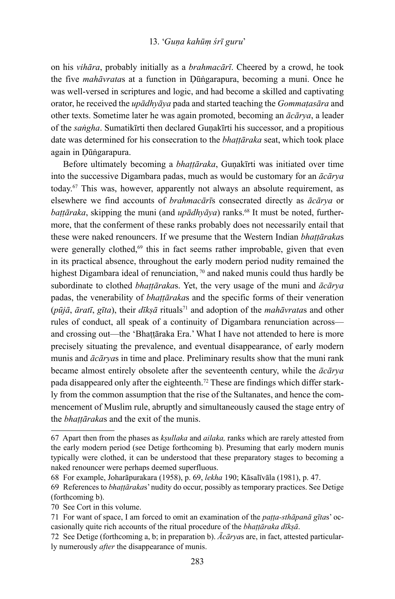#### 13. '*Guṇa kahūṃ śrī guru*'

on his *vihāra*, probably initially as a *brahmacārī*. Cheered by a crowd, he took the five *mahāvrata*s at a function in Ḍūṅgarapura, becoming a muni. Once he was well-versed in scriptures and logic, and had become a skilled and captivating orator, he received the *upādhyāya* pada and started teaching the *Gommaṭasāra* and other texts. Sometime later he was again promoted, becoming an *ācārya*, a leader of the *saṅgha*. Sumatikīrti then declared Guṇakīrti his successor, and a propitious date was determined for his consecration to the *bhaṭṭāraka* seat, which took place again in Ḍūṅgarapura.

Before ultimately becoming a *bhaṭṭāraka*, Guṇakīrti was initiated over time into the successive Digambara padas, much as would be customary for an *ācārya* today.67 This was, however, apparently not always an absolute requirement, as elsewhere we find accounts of *brahmacārī*s consecrated directly as *ācārya* or *baṭṭāraka*, skipping the muni (and *upādhyāya*) ranks.<sup>68</sup> It must be noted, furthermore, that the conferment of these ranks probably does not necessarily entail that these were naked renouncers. If we presume that the Western Indian *bhaṭṭāraka*s were generally clothed,<sup>69</sup> this in fact seems rather improbable, given that even in its practical absence, throughout the early modern period nudity remained the highest Digambara ideal of renunciation, <sup>70</sup> and naked munis could thus hardly be subordinate to clothed *bhaṭṭāraka*s. Yet, the very usage of the muni and *ācārya* padas, the venerability of *bhaṭṭāraka*s and the specific forms of their veneration  $(p\bar{u}j\bar{a}, \bar{a}r\bar{a}t\bar{b}, g\bar{a}j\bar{c})$ , their  $d\bar{a}k\bar{s}\bar{a}$  rituals<sup>71</sup> and adoption of the *mahāvrata*s and other rules of conduct, all speak of a continuity of Digambara renunciation across and crossing out—the 'Bhaṭṭāraka Era.' What I have not attended to here is more precisely situating the prevalence, and eventual disappearance, of early modern munis and *ācārya*s in time and place. Preliminary results show that the muni rank became almost entirely obsolete after the seventeenth century, while the *ācārya*  pada disappeared only after the eighteenth.72 These are findings which differ starkly from the common assumption that the rise of the Sultanates, and hence the commencement of Muslim rule, abruptly and simultaneously caused the stage entry of the *bhaṭṭāraka*s and the exit of the munis.

<sup>67</sup> Apart then from the phases as *kṣullaka* and *ailaka,* ranks which are rarely attested from the early modern period (see Detige forthcoming b). Presuming that early modern munis typically were clothed, it can be understood that these preparatory stages to becoming a naked renouncer were perhaps deemed superfluous.

<sup>68</sup> For example, Joharāpurakara (1958), p. 69, *lekha* 190; Kāsalīvāla (1981), p. 47.

<sup>69</sup> References to *bhaṭṭāraka*s' nudity do occur, possibly as temporary practices. See Detige (forthcoming b).

<sup>70</sup> See Cort in this volume.

<sup>71</sup> For want of space, I am forced to omit an examination of the *paṭṭa-sthāpanā gīta*s' occasionally quite rich accounts of the ritual procedure of the *bhaṭṭāraka dīkṣā*.

<sup>72</sup> See Detige (forthcoming a, b; in preparation b). *Ācārya*s are, in fact, attested particularly numerously *after* the disappearance of munis.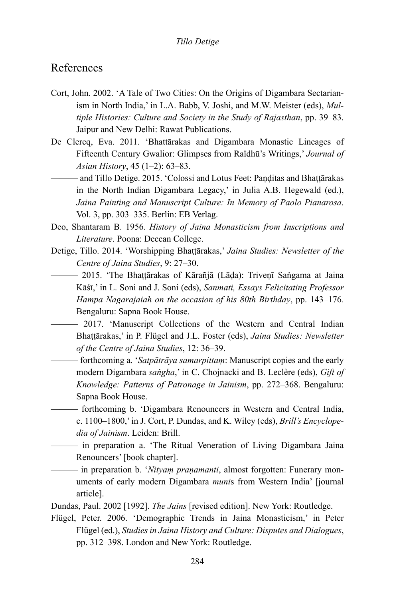## References

- Cort, John. 2002. 'A Tale of Two Cities: On the Origins of Digambara Sectarianism in North India,' in L.A. Babb, V. Joshi, and M.W. Meister (eds), *Multiple Histories: Culture and Society in the Study of Rajasthan*, pp. 39–83. Jaipur and New Delhi: Rawat Publications.
- De Clercq, Eva. 2011. 'Bhattārakas and Digambara Monastic Lineages of Fifteenth Century Gwalior: Glimpses from Raïdhū's Writings,' *Journal of Asian History*, 45 (1–2): 63–83.
	- ——— and Tillo Detige. 2015. 'Colossi and Lotus Feet: Paṇḍitas and Bhaṭṭārakas in the North Indian Digambara Legacy,' in Julia A.B. Hegewald (ed.), *Jaina Painting and Manuscript Culture: In Memory of Paolo Pianarosa*. Vol. 3, pp. 303–335. Berlin: EB Verlag.
- Deo, Shantaram B. 1956. *History of Jaina Monasticism from Inscriptions and Literature*. Poona: Deccan College.
- Detige, Tillo. 2014. 'Worshipping Bhaṭṭārakas,' *Jaina Studies: Newsletter of the Centre of Jaina Studies*, 9: 27–30.
	- ——— 2015. 'The Bhaṭṭārakas of Kārañjā (Lāḍa): Triveṇī Saṅgama at Jaina Kāśī,' in L. Soni and J. Soni (eds), *Sanmati, Essays Felicitating Professor Hampa Nagarajaiah on the occasion of his 80th Birthday*, pp. 143–176*.*  Bengaluru: Sapna Book House.
		- ——— 2017. 'Manuscript Collections of the Western and Central Indian Bhaṭṭārakas,' in P. Flügel and J.L. Foster (eds), *Jaina Studies: Newsletter of the Centre of Jaina Studies*, 12: 36–39.
		- ——— forthcoming a. '*Satpātrāya samarpittaṃ*: Manuscript copies and the early modern Digambara *saṅgha*,' in C. Chojnacki and B. Leclère (eds), *Gift of Knowledge: Patterns of Patronage in Jainism*, pp. 272–368. Bengaluru: Sapna Book House.
		- ——— forthcoming b. 'Digambara Renouncers in Western and Central India, c. 1100–1800,' in J. Cort, P. Dundas, and K. Wiley (eds), *Brill's Encyclopedia of Jainism*. Leiden: Brill.
		- ——— in preparation a. 'The Ritual Veneration of Living Digambara Jaina Renouncers' [book chapter].
	- ——— in preparation b. '*Nityaṃ praṇamanti*, almost forgotten: Funerary monuments of early modern Digambara *muni*s from Western India' [journal article].

Dundas, Paul. 2002 [1992]. *The Jains* [revised edition]. New York: Routledge.

Flügel, Peter. 2006. 'Demographic Trends in Jaina Monasticism,' in Peter Flügel (ed.), *Studies in Jaina History and Culture: Disputes and Dialogues*, pp. 312–398. London and New York: Routledge.